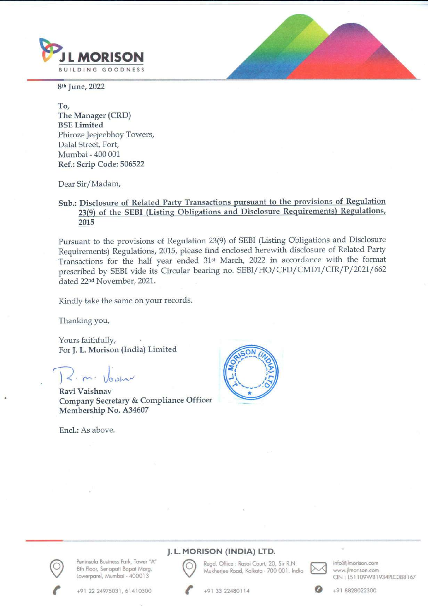

8th June, 2022

To, The Manager (CRD) BSE Limited Phiroze Jeejeebhoy Towers, Dalal Street, Fort, Mumbai - 400 001 Ref.: Scrip Code: 506522

Dear Sir/Madam,

## Sub.: Disclosure of Related Party Transactions pursuant to the provisions of Regulation 23(9) of the SEBI (Listing Obligations and Disclosure Requirements) Regulations, 2015

Pursuant to the provisions of Regulation 23(9) of SEBI (Listing Obligations and Disclosure Requirements) Regulations, 2015, please find enclosed herewith disclosure of Related Party Transactions for the half year ended 31st March, 2022 in accordance with the format prescribed by SEBI vide its Circular bearing no. SEBI/ HO/CFD/CMD1/CIR/P/2021/662 dated 22<sup>nd</sup> November, 2021.

Kindly take the same on your records.

Thanking you,

Yours faithfully, For J. L. Morison (India) Limited

 $2. m. V_{\text{asym}}$ 

Ravi Vaishnav Company Secretary & Compliance Officer Membership No. A34607

Encl.: As above.





: Peninsula Business Park, Tower "A"<br>8th Floor, Senapati Bapat Marg, Nukherjee Road, Kolkata - 700 001. India Muww. ilmorison.com<br>CIN: L51109WB1934PLC088167

## J.L. MORISON (INDIA) LTD. **J. L. MORISON (INDIA) LTD.**<br>Sula Business Park, Tower "A" Read. Office : Rasoi Court, 20, Sir R.N. **info@jlmorison.com**



(INDIA) LTD.<br>
fice : Rasoi Court, 20, Sir R.N.<br>
e Road, Kolkata - 700 001. India<br>
22480114 Regd. Office : Rasoi Court, 20, Sir R.N.<br>Mukherjee Road, Kolkata - 700 001. Inc<br>+91 33 22480114



+91 22 24975031, 61410300 C +91 33 22480114 2 +91 8828022300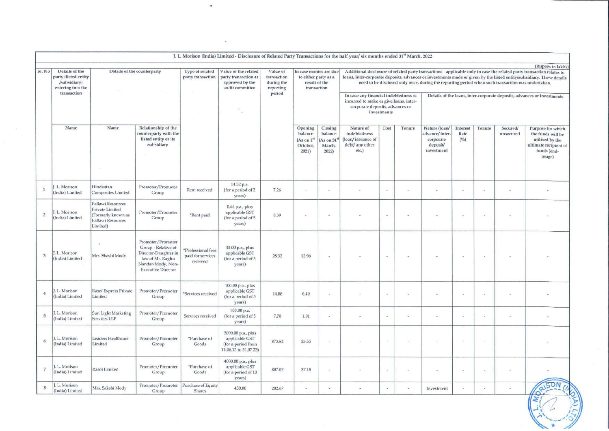|                          |                                                  |                                                                                             |                                                                                                                                        | $\bullet$                                           |                                                                                                                                                     |                                   |                                                                     |                                                              |                                                                            |                                                                                                                                                                                                                                                                                                                                                                 |                          |                                                                        |                         |                                                                         |                       |                                                                                                                                             |
|--------------------------|--------------------------------------------------|---------------------------------------------------------------------------------------------|----------------------------------------------------------------------------------------------------------------------------------------|-----------------------------------------------------|-----------------------------------------------------------------------------------------------------------------------------------------------------|-----------------------------------|---------------------------------------------------------------------|--------------------------------------------------------------|----------------------------------------------------------------------------|-----------------------------------------------------------------------------------------------------------------------------------------------------------------------------------------------------------------------------------------------------------------------------------------------------------------------------------------------------------------|--------------------------|------------------------------------------------------------------------|-------------------------|-------------------------------------------------------------------------|-----------------------|---------------------------------------------------------------------------------------------------------------------------------------------|
|                          |                                                  |                                                                                             |                                                                                                                                        |                                                     | $\sim$<br>J. L. Morison (India) Limited - Disclosure of Related Party Transactions for the half year/ six months ended 31 <sup>st</sup> March, 2022 |                                   |                                                                     |                                                              |                                                                            |                                                                                                                                                                                                                                                                                                                                                                 |                          |                                                                        |                         |                                                                         |                       |                                                                                                                                             |
| Sr. No                   | Details of the<br>party (listed entity           | Details of the counterparty                                                                 |                                                                                                                                        | Type of related<br>party transaction                | Value of the related<br>party transaction as                                                                                                        | Value of<br>transaction           | In case monies are due<br>to either party as a                      |                                                              |                                                                            |                                                                                                                                                                                                                                                                                                                                                                 |                          |                                                                        |                         |                                                                         |                       | (Rupees in lakhs)<br>Additional disclosure of related party transactions - applicable only in case the related party transaction relates to |
|                          | /subsidiary)<br>entering into the<br>transaction |                                                                                             |                                                                                                                                        | $\sim 10^{-1}$                                      | approved by the<br>audit committee<br>SS.<br>G.                                                                                                     | during the<br>reporting<br>period | result of the<br>transaction                                        |                                                              |                                                                            | loans, inter-corporate deposits, advances or investments made or given by the listed entity/subsidiary. These details<br>need to be disclosed only once, during the reporting period when such transaction was undertaken,<br>In case any financial indebtedness is<br>incurred to make or give loans, inter-<br>corporate deposits, advances or<br>investments |                          |                                                                        |                         | Details of the loans, inter-corporate deposits, advances or investments |                       |                                                                                                                                             |
|                          | Name                                             | Name                                                                                        | Relationship of the<br>counterparty with the<br>listed entity or its<br>subsidiary                                                     |                                                     |                                                                                                                                                     | -77                               | Opening<br>balance<br>(As on 1 <sup>st</sup> )<br>October,<br>2021) | Closing<br>balance<br>As on $31^{\rm st}$<br>March,<br>2022) | Nature of<br>indebtedness<br>(loan/issuance of<br>debt/ any other<br>etc.) | Cost                                                                                                                                                                                                                                                                                                                                                            | Tenure                   | Nature (loan/<br>advance/inter-<br>corporate<br>deposit/<br>investment | Interest<br>Rate<br>(%) | Tenure                                                                  | Secured/<br>unsecured | Purpose for which<br>the funds will be<br>utilised by the<br>ultimate recipient of<br>funds (end-<br>usage)                                 |
| $\mathbf{1}$             | J. L. Morison<br>(India) Limited                 | Hindustan<br>Composites Limited                                                             | Promoter/Promoter<br>Group                                                                                                             | Rent received                                       | 14.52 p.a.<br>(for a period of 3<br>years)                                                                                                          | 7.26                              | $\bullet$                                                           | $\sim$                                                       | $\omega$                                                                   | $\sim$                                                                                                                                                                                                                                                                                                                                                          | $\overline{\phantom{a}}$ | $\sim$                                                                 | $\omega$                | $\sim$                                                                  | 8                     | $\overline{\phantom{a}}$                                                                                                                    |
| $\,$ 2 $\,$              | L. Morison<br>(India) Limited                    | Pallawi Resources<br>Private Limited<br>(Formerly known as<br>Pallawi Resources<br>Limited) | Promoter/Promoter<br>Group                                                                                                             | *Rent paid                                          | 0.66 p.a., plus<br>applicable GST<br>(for a period of 5<br>years)                                                                                   | 0.39                              | $\sim$                                                              | $\sim$                                                       |                                                                            | $\sim$                                                                                                                                                                                                                                                                                                                                                          | ÷.                       |                                                                        | c                       | $\overline{\phantom{a}}$                                                | ÷                     |                                                                                                                                             |
| $\overline{3}$           | J. L. Morison<br>(India) Limited                 | $\alpha$<br>Mrs. Shashi Mody                                                                | Promoter/Promoter<br>Group - Relative of<br>Director-Daughter in<br>law of Mr. Raghu<br>Nandan Mody, Non-<br><b>Executive Director</b> | *Professional fees<br>paid for services<br>received | 48.00 p.a., plus<br>applicable GST<br>(for a period of 3<br>years)                                                                                  | 28.32                             | 12.96                                                               | $\geq$                                                       | $\sim$                                                                     | $\sim$                                                                                                                                                                                                                                                                                                                                                          | $\sim$                   | $\sim$                                                                 | $\sim$                  | $\sim$                                                                  | $\mu$                 | $\bullet$                                                                                                                                   |
| $\overline{4}$           | L. Morison<br>(India) Limited                    | Rasoi Express Private<br>Limited                                                            | Promoter/Promoter<br>Group                                                                                                             | "Services received                                  | 100.00 p.a., plus<br>applicable GST<br>(for a period of 5<br>years)                                                                                 | 14.88                             | 0.40                                                                | $\sim$                                                       | ÷,                                                                         | $\overline{\phantom{a}}$                                                                                                                                                                                                                                                                                                                                        | $\sim$                   | ×                                                                      | $\sim$                  | ×.                                                                      | $\sim$                | $\overline{\phantom{a}}$                                                                                                                    |
| 5                        | J. L. Morison<br>(India) Limited                 | Sun Light Marketing<br>Services LLP                                                         | Promoter/Promoter<br>Group                                                                                                             | Services received                                   | 100.00 p.a.<br>(for a period of 5<br>years)                                                                                                         | 7.70                              | 1.91                                                                | $\overline{\phantom{a}}$                                     | $\sim$                                                                     | ¥                                                                                                                                                                                                                                                                                                                                                               | $\overline{\phantom{a}}$ | à.                                                                     | $\sim$                  | $\sim$                                                                  | $\sim$                | $\alpha$                                                                                                                                    |
| 6                        | . L. Morison<br>(India) Limited                  | Leaders Healthcare<br>Limited                                                               | Promoter/Promoter<br>Group                                                                                                             | *Purchase of<br>Goods                               | 3000.00 p.a., plus<br>applicable GST<br>(for a period from<br>14.06.13 to 31.07.23)                                                                 | 873.62                            | 25.55                                                               | ×                                                            |                                                                            | ÷                                                                                                                                                                                                                                                                                                                                                               | $\sim$                   | ×.                                                                     | $\sim$                  | $\mathcal{L}$                                                           | $\sim$                | $\overline{a}$                                                                                                                              |
| $\overline{\phantom{a}}$ | J. L. Morison<br>(India) Limited                 | Rasoi Limited                                                                               | Promoter/Promoter<br>Group                                                                                                             | *Purchase of<br>Goods                               | 4000.00 p.a., plus<br>applicable GST<br>(for a period of 10<br>years)                                                                               | 807.07                            | 37.18                                                               | $\sim$                                                       | $\overline{\phantom{a}}$                                                   | $\sim$                                                                                                                                                                                                                                                                                                                                                          | $\sim$                   | $\sim$                                                                 | $\sim$                  | $\sim$                                                                  | $\sim$                | $\sim$                                                                                                                                      |
| $\,$ 8 $\,$              | J. L. Morison<br>(India) Limited                 | Mrs. Sakshi Mody                                                                            | Promoter/Promoter<br>Group                                                                                                             | Purchase of Equity<br><b>Shares</b>                 | 450.00                                                                                                                                              | 282.67                            | $\sim$                                                              | $\sim$                                                       | $\sim$                                                                     | $\sim$                                                                                                                                                                                                                                                                                                                                                          | ÷                        | Investment                                                             | ÷                       | $\sim$                                                                  | $\omega$              | BRISON<br>$\sqrt{2}$                                                                                                                        |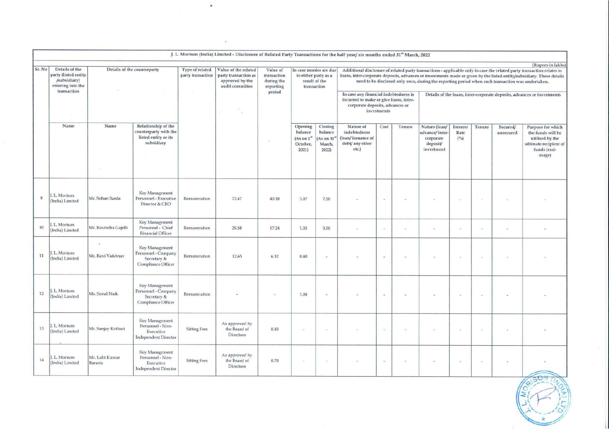|        |                                                                                            |                                                                                                                                                                                                                                                                                                          |                                                                                    | $\,$                |                                |        |                                                         |                                                                                                                                                |                                                                            |        |                                                                                                                    |                                                                                                                                                                                                                                                                                                                                                                                                                                                      |                                               |                             |                       |                                                                                                             |
|--------|--------------------------------------------------------------------------------------------|----------------------------------------------------------------------------------------------------------------------------------------------------------------------------------------------------------------------------------------------------------------------------------------------------------|------------------------------------------------------------------------------------|---------------------|--------------------------------|--------|---------------------------------------------------------|------------------------------------------------------------------------------------------------------------------------------------------------|----------------------------------------------------------------------------|--------|--------------------------------------------------------------------------------------------------------------------|------------------------------------------------------------------------------------------------------------------------------------------------------------------------------------------------------------------------------------------------------------------------------------------------------------------------------------------------------------------------------------------------------------------------------------------------------|-----------------------------------------------|-----------------------------|-----------------------|-------------------------------------------------------------------------------------------------------------|
|        |                                                                                            |                                                                                                                                                                                                                                                                                                          |                                                                                    |                     | $\sim$                         |        |                                                         |                                                                                                                                                |                                                                            |        |                                                                                                                    |                                                                                                                                                                                                                                                                                                                                                                                                                                                      |                                               |                             |                       |                                                                                                             |
| Sr. No | Details of the<br>party (listed entity<br>/subsidiary)<br>entering into the<br>transaction | J. L. Morison (India) Limited - Disclosure of Related Party Transactions for the half year/ six months ended 31st March, 2022<br>Details of the counterparty<br>Type of related<br>Value of the related<br>party transaction<br>party transaction as<br>approved by the<br>audit committee<br><b>COL</b> |                                                                                    |                     |                                |        |                                                         | Value of<br>In case monies are due<br>to either party as a<br>transaction<br>result of the<br>during the<br>transaction<br>reporting<br>period |                                                                            |        | In case any financial indebtedness is<br>incurred to make or give loans, inter-<br>corporate deposits, advances or | (Rupees in lakhs)<br>Additional disclosure of related party transactions - applicable only in case the related party transaction relates to<br>loans, inter-corporate deposits, advances or investments made or given by the listed entity/subsidiary. These details<br>need to be disclosed only once, during the reporting period when such transaction was undertaken.<br>Details of the loans, inter-corporate deposits, advances or investments |                                               |                             |                       |                                                                                                             |
|        | Name                                                                                       | Name                                                                                                                                                                                                                                                                                                     | Relationship of the<br>counterparty with the<br>listed entity or its<br>subsidiary |                     |                                | 31     | Opening<br>balance<br>$(As on 1*)$<br>October,<br>2021) | Closing<br>balance<br>(As on 31)<br>March,<br>2022)                                                                                            | Nature of<br>indebtedness<br>(loan/issuance of<br>debt/ any other<br>etc.) | Cost   | Tenure                                                                                                             | Nature (loan/<br>advance/inter-<br>corporate<br>deposit/<br>investment                                                                                                                                                                                                                                                                                                                                                                               | Interest<br>Rate<br>$\left(^{0\!}/\!o\right)$ | Tenure                      | Secured/<br>unsecured | Purpose for which<br>the funds will be<br>utilised by the<br>ultimate recipient of<br>funds (end-<br>usage) |
| 9      | J. L. Morison<br>(India) Limited                                                           | Mr. Sohan Sarda                                                                                                                                                                                                                                                                                          | Key Management<br>Personnel - Executive<br>Director & CEO                          | Remuneration        | 72.47                          | 40.18  | 3.07                                                    | 7.50                                                                                                                                           |                                                                            | $\sim$ |                                                                                                                    | i.                                                                                                                                                                                                                                                                                                                                                                                                                                                   | $\sim$                                        | $\sim$                      | $\sim$                |                                                                                                             |
| 10     | J. L. Morison<br>(India) Limited                                                           | Mr. Ravindra Gajelli<br>$\sim$                                                                                                                                                                                                                                                                           | Key Management<br>Personnel - Chief<br><b>Financial Officer</b><br>Key Management  | Remuneration        | 29.58                          | 17.24  | 1.33                                                    | 3.50                                                                                                                                           | $\sim$                                                                     | $\sim$ | œ.                                                                                                                 | $\sim$                                                                                                                                                                                                                                                                                                                                                                                                                                               | $\sim$                                        | $\mathcal{F}_{\mathcal{A}}$ | $\sim$                | $\sim$                                                                                                      |
| $11\,$ | J. L. Morison<br>(India) Limited                                                           | Mr. Ravi Vaishnav                                                                                                                                                                                                                                                                                        | Personnel - Company<br>Secretary &<br>Compliance Officer                           | Remuneration        | 12.65                          | 6.32   | 0.40                                                    |                                                                                                                                                |                                                                            | $\sim$ |                                                                                                                    |                                                                                                                                                                                                                                                                                                                                                                                                                                                      | $\sim$                                        | $\sim$                      |                       |                                                                                                             |
| 12     | J. L. Morison<br>(India) Limited                                                           | Ms. Sonal Naik                                                                                                                                                                                                                                                                                           | Key Management<br>Personnel - Company<br>Secretary &<br>Compliance Officer         | Remuneration        | $\overline{\phantom{a}}$       | $\sim$ | 1.04                                                    | $\sim$                                                                                                                                         |                                                                            | $\sim$ |                                                                                                                    | $\sim$                                                                                                                                                                                                                                                                                                                                                                                                                                               | $\overline{\phantom{a}}$                      | $\,$                        |                       |                                                                                                             |
| 13     | J. L. Morison<br>(India) Limited                                                           | Mr. Sanjay Kothari                                                                                                                                                                                                                                                                                       | Key Management<br>Personnel - Non-                                                 |                     | As approved by<br>the Board of | 0.40   |                                                         |                                                                                                                                                |                                                                            |        |                                                                                                                    |                                                                                                                                                                                                                                                                                                                                                                                                                                                      |                                               |                             |                       |                                                                                                             |
|        |                                                                                            |                                                                                                                                                                                                                                                                                                          | Executive<br><b>Independent Director</b>                                           | <b>Sitting Fees</b> | Directors                      |        | $\sim$                                                  | $\sim$                                                                                                                                         |                                                                            | $\sim$ |                                                                                                                    | ÷                                                                                                                                                                                                                                                                                                                                                                                                                                                    | $\sim$                                        | $\sim$                      |                       |                                                                                                             |